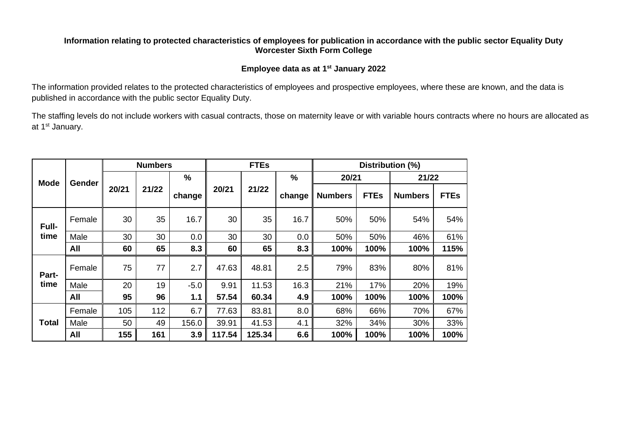#### **Information relating to protected characteristics of employees for publication in accordance with the public sector Equality Duty Worcester Sixth Form College**

#### **Employee data as at 1st January 2022**

The information provided relates to the protected characteristics of employees and prospective employees, where these are known, and the data is published in accordance with the public sector Equality Duty.

The staffing levels do not include workers with casual contracts, those on maternity leave or with variable hours contracts where no hours are allocated as at 1st January.

|             | Gender | <b>Numbers</b> |       |               | <b>FTEs</b> |        |               | Distribution (%) |             |                |             |
|-------------|--------|----------------|-------|---------------|-------------|--------|---------------|------------------|-------------|----------------|-------------|
| <b>Mode</b> |        |                |       | $\frac{0}{0}$ |             |        | $\frac{9}{6}$ | 20/21            |             | 21/22          |             |
|             |        | 20/21          | 21/22 | change        | 20/21       | 21/22  | change        | <b>Numbers</b>   | <b>FTEs</b> | <b>Numbers</b> | <b>FTEs</b> |
| Full-       | Female | 30             | 35    | 16.7          | 30          | 35     | 16.7          | 50%              | 50%         | 54%            | 54%         |
| time        | Male   | 30             | 30    | 0.0           | 30          | 30     | 0.0           | 50%              | 50%         | 46%            | 61%         |
|             | All    | 60             | 65    | 8.3           | 60          | 65     | 8.3           | 100%             | 100%        | 100%           | 115%        |
| Part-       | Female | 75             | 77    | 2.7           | 47.63       | 48.81  | 2.5           | 79%              | 83%         | 80%            | 81%         |
| time        | Male   | 20             | 19    | $-5.0$        | 9.91        | 11.53  | 16.3          | 21%              | 17%         | 20%            | 19%         |
|             | All    | 95             | 96    | 1.1           | 57.54       | 60.34  | 4.9           | 100%             | 100%        | 100%           | 100%        |
| Total       | Female | 105            | 112   | 6.7           | 77.63       | 83.81  | 8.0           | 68%              | 66%         | 70%            | 67%         |
|             | Male   | 50             | 49    | 156.0         | 39.91       | 41.53  | 4.1           | 32%              | 34%         | 30%            | 33%         |
|             | All    | 155            | 161   | 3.9           | 117.54      | 125.34 | 6.6           | 100%             | 100%        | 100%           | 100%        |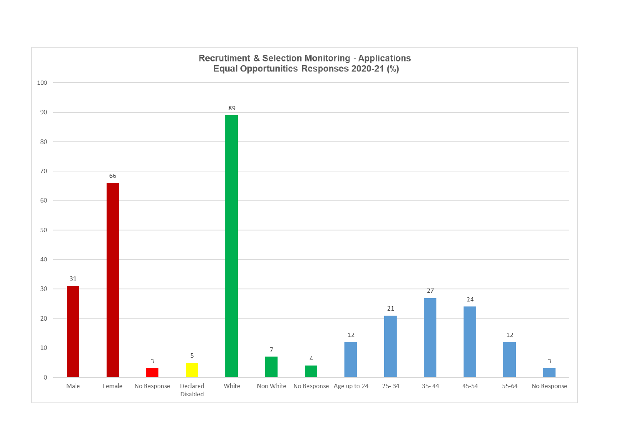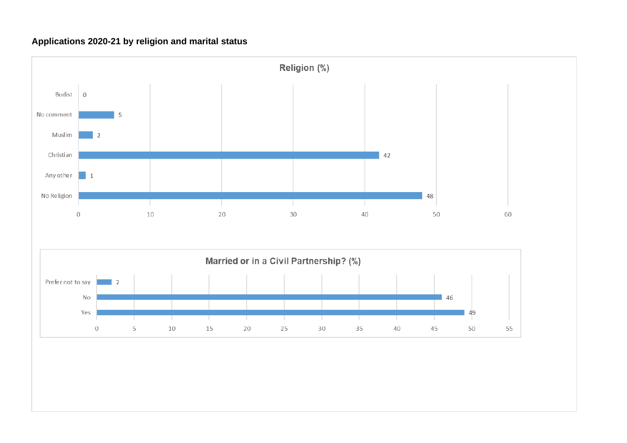# **Applications 2020-21 by religion and marital status**

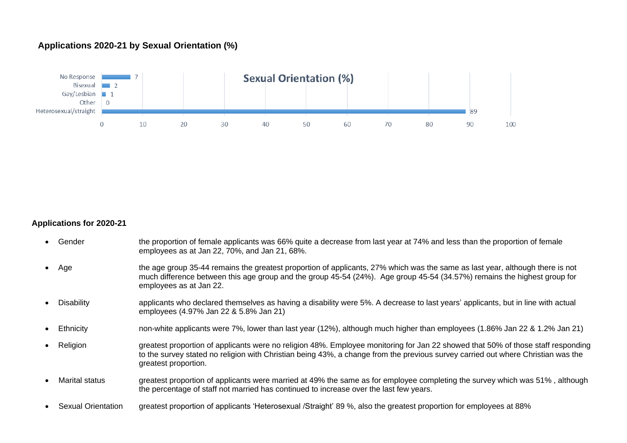## **Applications 2020-21 by Sexual Orientation (%)**



#### **Applications for 2020-21**

- Gender the proportion of female applicants was 66% quite a decrease from last year at 74% and less than the proportion of female employees as at Jan 22, 70%, and Jan 21, 68%.
- Age the age group 35-44 remains the greatest proportion of applicants, 27% which was the same as last year, although there is not much difference between this age group and the group 45-54 (24%). Age group 45-54 (34.57%) remains the highest group for employees as at Jan 22.
- Disability applicants who declared themselves as having a disability were 5%. A decrease to last years' applicants, but in line with actual employees (4.97% Jan 22 & 5.8% Jan 21)
- Ethnicity non-white applicants were 7%, lower than last year (12%), although much higher than employees (1.86% Jan 22 & 1.2% Jan 21)
- Religion greatest proportion of applicants were no religion 48%. Employee monitoring for Jan 22 showed that 50% of those staff responding to the survey stated no religion with Christian being 43%, a change from the previous survey carried out where Christian was the greatest proportion.
- Marital status greatest proportion of applicants were married at 49% the same as for employee completing the survey which was 51%, although the percentage of staff not married has continued to increase over the last few years.
- Sexual Orientation greatest proportion of applicants 'Heterosexual /Straight' 89 %, also the greatest proportion for employees at 88%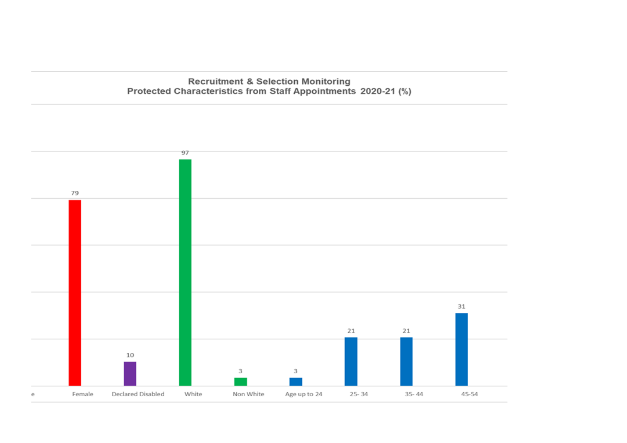Recruitment & Selection Monitoring<br>Protected Characteristics from Staff Appointments 2020-21 (%)

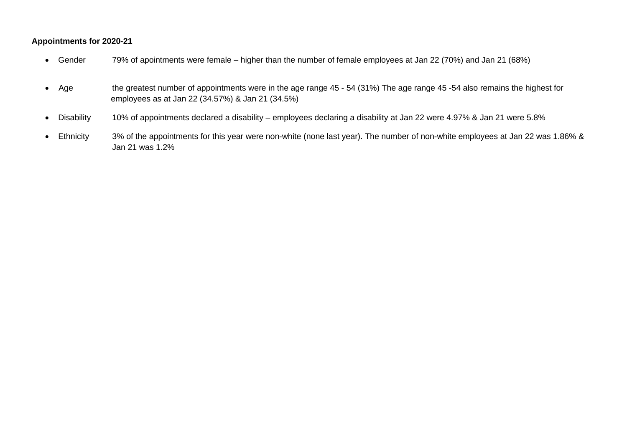#### **Appointments for 2020-21**

- Gender 79% of apointments were female higher than the number of female employees at Jan 22 (70%) and Jan 21 (68%)
- Age the greatest number of appointments were in the age range 45 54 (31%) The age range 45 -54 also remains the highest for employees as at Jan 22 (34.57%) & Jan 21 (34.5%)
- Disability 10% of appointments declared a disability employees declaring a disability at Jan 22 were 4.97% & Jan 21 were 5.8%
- Ethnicity 3% of the appointments for this year were non-white (none last year). The number of non-white employees at Jan 22 was 1.86% & Jan 21 was 1.2%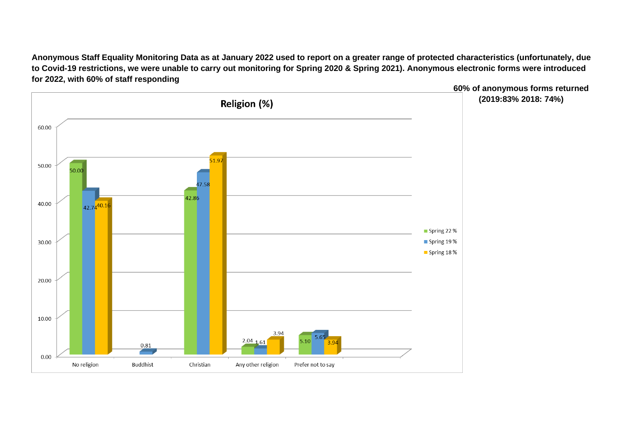**Anonymous Staff Equality Monitoring Data as at January 2022 used to report on a greater range of protected characteristics (unfortunately, due to Covid-19 restrictions, we were unable to carry out monitoring for Spring 2020 & Spring 2021). Anonymous electronic forms were introduced for 2022, with 60% of staff responding** 

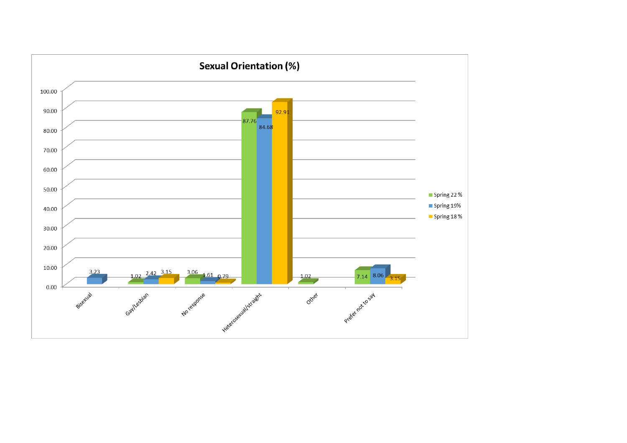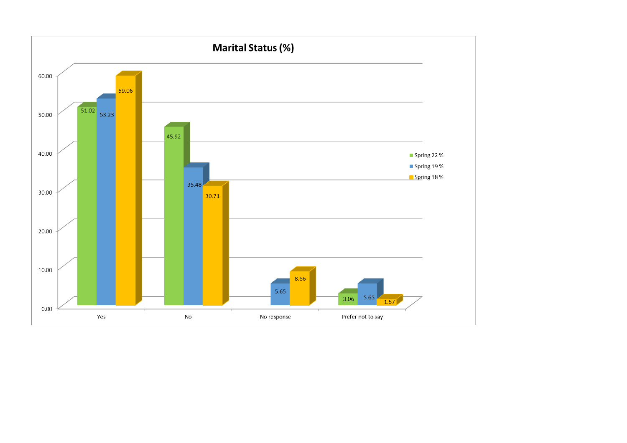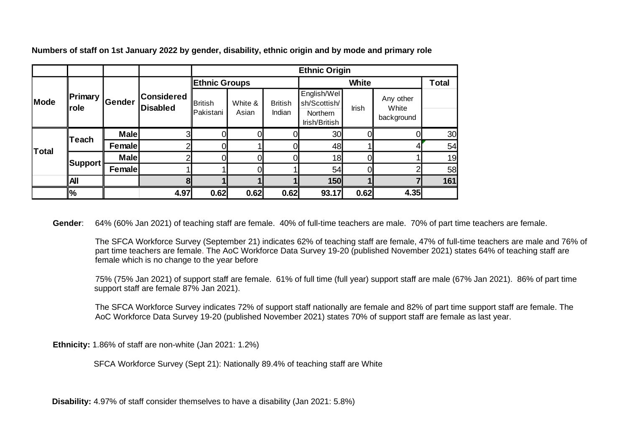|              |                                       |             |                                      | <b>Ethnic Origin</b>        |                  |                          |                                                                 |       |                                  |              |
|--------------|---------------------------------------|-------------|--------------------------------------|-----------------------------|------------------|--------------------------|-----------------------------------------------------------------|-------|----------------------------------|--------------|
|              |                                       |             |                                      | <b>Ethnic Groups</b>        |                  |                          | <b>White</b>                                                    |       |                                  | <b>Total</b> |
| Mode         | $\blacksquare$ Primary<br><b>role</b> | Gender      | <b>Considered</b><br><b>Disabled</b> | <b>British</b><br>Pakistani | White &<br>Asian | <b>British</b><br>Indian | English/Wel<br>sh/Scottish/<br><b>Northern</b><br>Irish/British | Irish | Any other<br>White<br>background |              |
| <b>Total</b> | ∥Teach                                | <b>Male</b> | 3 <sub>l</sub>                       |                             | ΩI               |                          | 30                                                              |       |                                  | 30           |
|              |                                       | Female      | ⌒                                    |                             |                  |                          | 48                                                              |       |                                  | 54           |
|              |                                       | <b>Male</b> |                                      |                             |                  |                          | 18                                                              |       |                                  | 19           |
|              | ∥Support ∣                            | Female      |                                      |                             | ωI               |                          | 54                                                              | N     |                                  | 58           |
|              | All                                   |             | 81                                   |                             |                  |                          | 150                                                             |       |                                  | 161          |
|              | <u> %</u>                             |             | 4.97                                 | 0.62                        | 0.62             | 0.62                     | 93.17                                                           | 0.62  | 4.35                             |              |

**Numbers of staff on 1st January 2022 by gender, disability, ethnic origin and by mode and primary role**

**Gender**: 64% (60% Jan 2021) of teaching staff are female. 40% of full-time teachers are male. 70% of part time teachers are female.

The SFCA Workforce Survey (September 21) indicates 62% of teaching staff are female, 47% of full-time teachers are male and 76% of part time teachers are female. The AoC Workforce Data Survey 19-20 (published November 2021) states 64% of teaching staff are female which is no change to the year before

75% (75% Jan 2021) of support staff are female. 61% of full time (full year) support staff are male (67% Jan 2021). 86% of part time support staff are female 87% Jan 2021).

The SFCA Workforce Survey indicates 72% of support staff nationally are female and 82% of part time support staff are female. The AoC Workforce Data Survey 19-20 (published November 2021) states 70% of support staff are female as last year.

**Ethnicity:** 1.86% of staff are non-white (Jan 2021: 1.2%)

SFCA Workforce Survey (Sept 21): Nationally 89.4% of teaching staff are White

**Disability:** 4.97% of staff consider themselves to have a disability (Jan 2021: 5.8%)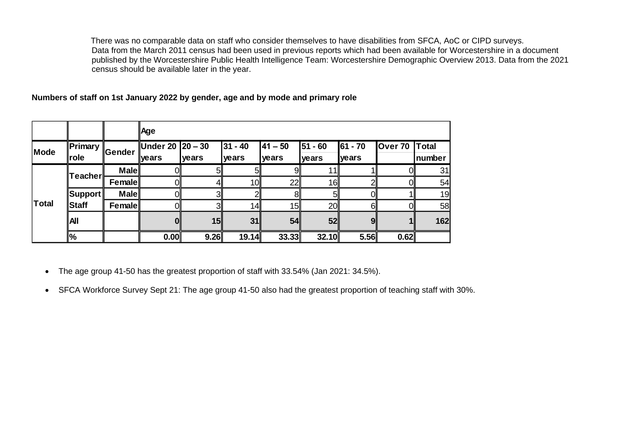There was no comparable data on staff who consider themselves to have disabilities from SFCA, AoC or CIPD surveys. Data from the March 2011 census had been used in previous reports which had been available for Worcestershire in a document published by the Worcestershire Public Health Intelligence Team: Worcestershire Demographic Overview 2013. Data from the 2021 census should be available later in the year.

**Numbers of staff on 1st January 2022 by gender, age and by mode and primary role**

|       |                                 |               | Age                       |                |                      |                      |                    |                   |         |                        |
|-------|---------------------------------|---------------|---------------------------|----------------|----------------------|----------------------|--------------------|-------------------|---------|------------------------|
| Mode  | $\blacksquare$ Primary<br>∥role | <b>Sender</b> | Under 20 20 – 30<br>vears | years          | $ 31 - 40 $<br>years | $ 41 - 50 $<br>years | $51 - 60$<br>years | 61 - 70<br>lyears | Over 70 | <b>Total</b><br>number |
|       | <b>Teacher</b>                  | <b>Male</b>   | Οl                        | 5 <sup>1</sup> | 5 <sub>l</sub>       | 9∥                   | 11I                |                   | OII     | 31                     |
|       |                                 | Female        | Ol                        |                | 10 <sub>l</sub>      | 22                   | 16∥                |                   | OII     | 54                     |
|       | $\ $ Support $\ $               | <b>Male</b>   | 01                        | $\overline{3}$ | $\mathcal{D}$        | 81                   | 51                 |                   |         | 19                     |
| Total | Staff                           | Female        | Oll                       | 3 <sub>l</sub> | 14                   | 15                   | 20 <sup>1</sup>    | 61                | Oll     | 58                     |
|       | İΑΙ                             |               | OI                        | 15             | 31                   | 54                   | 52                 | 91                |         | 162                    |
|       | $\frac{1}{2}$                   |               | 0.00                      | 9.26           | 19.14                | 33.33                | 32.10              | 5.56              | 0.62    |                        |

• The age group 41-50 has the greatest proportion of staff with 33.54% (Jan 2021: 34.5%).

• SFCA Workforce Survey Sept 21: The age group 41-50 also had the greatest proportion of teaching staff with 30%.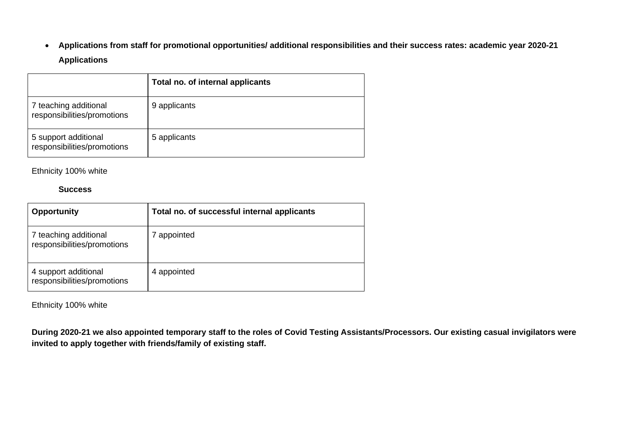• **Applications from staff for promotional opportunities/ additional responsibilities and their success rates: academic year 2020-21 Applications**

|                                                      | Total no. of internal applicants |
|------------------------------------------------------|----------------------------------|
| 7 teaching additional<br>responsibilities/promotions | 9 applicants                     |
| 5 support additional<br>responsibilities/promotions  | 5 applicants                     |

Ethnicity 100% white

#### **Success**

| <b>Opportunity</b>                                   | Total no. of successful internal applicants |
|------------------------------------------------------|---------------------------------------------|
| 7 teaching additional<br>responsibilities/promotions | appointed                                   |
| 4 support additional<br>responsibilities/promotions  | 4 appointed                                 |

Ethnicity 100% white

**During 2020-21 we also appointed temporary staff to the roles of Covid Testing Assistants/Processors. Our existing casual invigilators were invited to apply together with friends/family of existing staff.**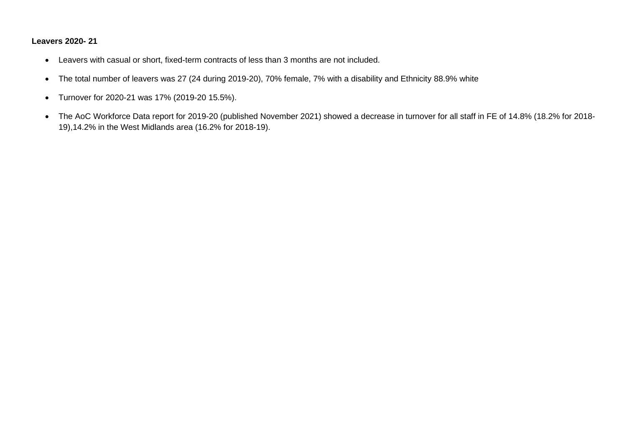### **Leavers 2020- 21**

- Leavers with casual or short, fixed-term contracts of less than 3 months are not included.
- The total number of leavers was 27 (24 during 2019-20), 70% female, 7% with a disability and Ethnicity 88.9% white
- Turnover for 2020-21 was 17% (2019-20 15.5%).
- The AoC Workforce Data report for 2019-20 (published November 2021) showed a decrease in turnover for all staff in FE of 14.8% (18.2% for 2018- 19),14.2% in the West Midlands area (16.2% for 2018-19).